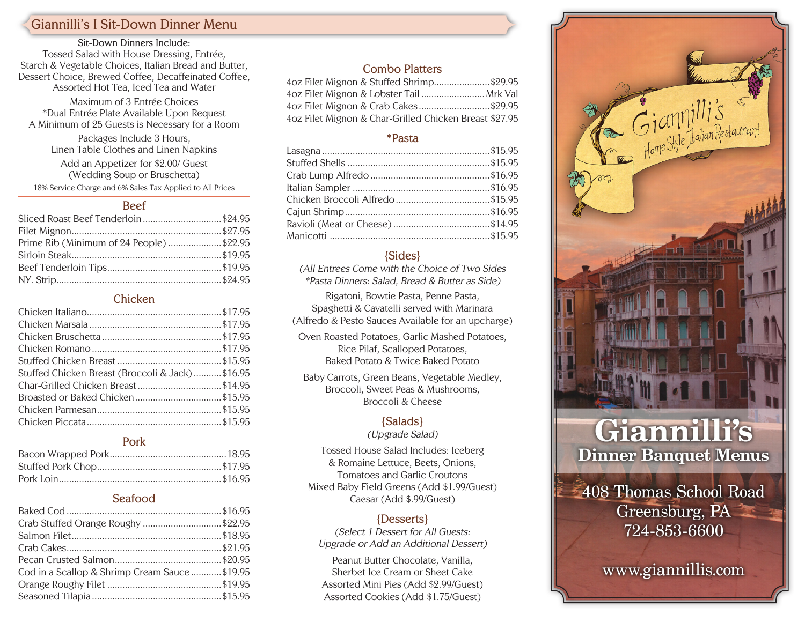# **Giannilli's I Sit-Down Dinner Menu**

**Sit-Down Dinners Include:** Tossed Salad with House Dressing, Entrée, Starch & Vegetable Choices, Italian Bread and Butter, Dessert Choice, Brewed Coffee, Decaffeinated Coffee, Assorted Hot Tea, Iced Tea and Water

Maximum of 3 Entrée Choices \*Dual Entrée Plate Available Upon Request A Minimum of 25 Guests is Necessary for a Room

> Packages Include 3 Hours, Linen Table Clothes and Linen Napkins

Add an Appetizer for \$2.00/ Guest (Wedding Soup or Bruschetta) 18% Service Charge and 6% Sales Tax Applied to All Prices

#### **Beef**

| Sliced Roast Beef Tenderloin\$24.95     |  |
|-----------------------------------------|--|
|                                         |  |
| Prime Rib (Minimum of 24 People)\$22.95 |  |
|                                         |  |
|                                         |  |
|                                         |  |

#### **Chicken**

| Stuffed Chicken Breast (Broccoli & Jack)\$16.95 |  |
|-------------------------------------------------|--|
| Char-Grilled Chicken Breast\$14.95              |  |
|                                                 |  |
|                                                 |  |
|                                                 |  |

#### **Pork**

#### **Seafood**

| Crab Stuffed Orange Roughy \$22.95           |  |
|----------------------------------------------|--|
|                                              |  |
|                                              |  |
|                                              |  |
| Cod in a Scallop & Shrimp Cream Sauce\$19.95 |  |
|                                              |  |
|                                              |  |

### **Combo Platters**

| 4oz Filet Mignon & Stuffed Shrimp\$29.95               |  |
|--------------------------------------------------------|--|
| 4oz Filet Mignon & Lobster Tail Mrk Val                |  |
|                                                        |  |
| 4oz Filet Mignon & Char-Grilled Chicken Breast \$27.95 |  |

#### **\*Pasta**

#### **{Sides}**

(All Entrees Come with the Choice of Two Sides \*Pasta Dinners: Salad, Bread & Butter as Side)

Rigatoni, Bowtie Pasta, Penne Pasta, Spaghetti & Cavatelli served with Marinara (Alfredo & Pesto Sauces Available for an upcharge)

Oven Roasted Potatoes, Garlic Mashed Potatoes, Rice Pilaf, Scalloped Potatoes, Baked Potato & Twice Baked Potato

Baby Carrots, Green Beans, Vegetable Medley, Broccoli, Sweet Peas & Mushrooms, Broccoli & Cheese

#### **{Salads}**

(Upgrade Salad)

Tossed House Salad Includes: Iceberg & Romaine Lettuce, Beets, Onions, Tomatoes and Garlic Croutons Mixed Baby Field Greens (Add \$1.99/Guest) Caesar (Add \$.99/Guest)

#### **{Desserts}**

(Select 1 Dessert for All Guests: Upgrade or Add an Additional Dessert)

Peanut Butter Chocolate, Vanilla, Sherbet Ice Cream or Sheet Cake Assorted Mini Pies (Add \$2.99/Guest) Assorted Cookies (Add \$1.75/Guest)